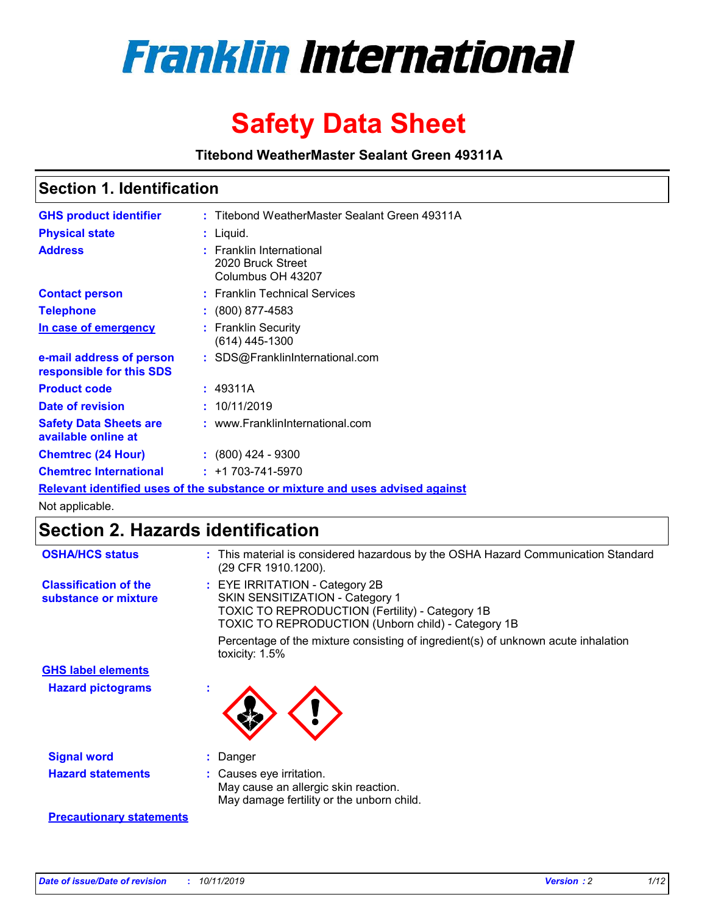

# **Safety Data Sheet**

**Titebond WeatherMaster Sealant Green 49311A**

### **Section 1. Identification**

| <b>GHS product identifier</b>                                                 |  | : Titebond WeatherMaster Sealant Green 49311A                      |  |  |
|-------------------------------------------------------------------------------|--|--------------------------------------------------------------------|--|--|
| <b>Physical state</b>                                                         |  | : Liquid.                                                          |  |  |
| <b>Address</b>                                                                |  | : Franklin International<br>2020 Bruck Street<br>Columbus OH 43207 |  |  |
| <b>Contact person</b>                                                         |  | : Franklin Technical Services                                      |  |  |
| <b>Telephone</b>                                                              |  | $\colon$ (800) 877-4583                                            |  |  |
| In case of emergency                                                          |  | : Franklin Security<br>$(614)$ 445-1300                            |  |  |
| e-mail address of person<br>responsible for this SDS                          |  | : SDS@FranklinInternational.com                                    |  |  |
| <b>Product code</b>                                                           |  | : 49311A                                                           |  |  |
| Date of revision                                                              |  | : 10/11/2019                                                       |  |  |
| <b>Safety Data Sheets are</b><br>available online at                          |  | : www.FranklinInternational.com                                    |  |  |
| <b>Chemtrec (24 Hour)</b>                                                     |  | $\div$ (800) 424 - 9300                                            |  |  |
| <b>Chemtrec International</b>                                                 |  | $: +1703 - 741 - 5970$                                             |  |  |
| Relevant identified uses of the substance or mixture and uses advised against |  |                                                                    |  |  |

Not applicable.

## **Section 2. Hazards identification**

| <b>OSHA/HCS status</b>                               | : This material is considered hazardous by the OSHA Hazard Communication Standard<br>(29 CFR 1910.1200).                                                                          |
|------------------------------------------------------|-----------------------------------------------------------------------------------------------------------------------------------------------------------------------------------|
| <b>Classification of the</b><br>substance or mixture | : EYE IRRITATION - Category 2B<br>SKIN SENSITIZATION - Category 1<br><b>TOXIC TO REPRODUCTION (Fertility) - Category 1B</b><br>TOXIC TO REPRODUCTION (Unborn child) - Category 1B |
|                                                      | Percentage of the mixture consisting of ingredient(s) of unknown acute inhalation<br>toxicity: $1.5\%$                                                                            |
| <b>GHS label elements</b>                            |                                                                                                                                                                                   |
| <b>Hazard pictograms</b>                             |                                                                                                                                                                                   |
| <b>Signal word</b>                                   | : Danger                                                                                                                                                                          |
| <b>Hazard statements</b>                             | : Causes eye irritation.<br>May cause an allergic skin reaction.<br>May damage fertility or the unborn child.                                                                     |
| <b>Precautionary statements</b>                      |                                                                                                                                                                                   |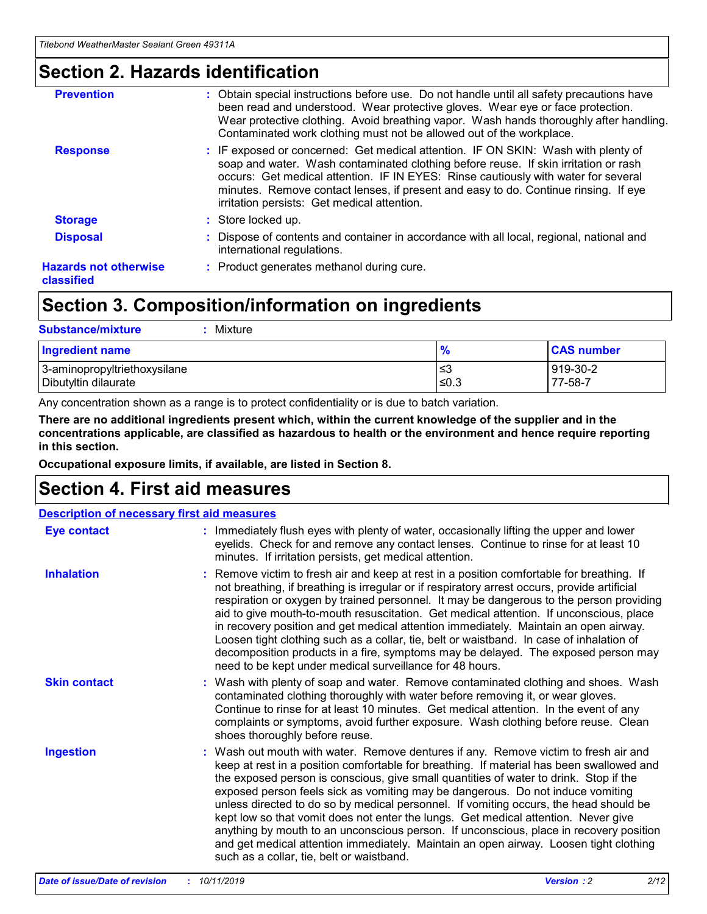### **Section 2. Hazards identification**

| <b>Prevention</b>                          | : Obtain special instructions before use. Do not handle until all safety precautions have<br>been read and understood. Wear protective gloves. Wear eye or face protection.<br>Wear protective clothing. Avoid breathing vapor. Wash hands thoroughly after handling.<br>Contaminated work clothing must not be allowed out of the workplace.                                                        |
|--------------------------------------------|------------------------------------------------------------------------------------------------------------------------------------------------------------------------------------------------------------------------------------------------------------------------------------------------------------------------------------------------------------------------------------------------------|
| <b>Response</b>                            | : IF exposed or concerned: Get medical attention. IF ON SKIN: Wash with plenty of<br>soap and water. Wash contaminated clothing before reuse. If skin irritation or rash<br>occurs: Get medical attention. IF IN EYES: Rinse cautiously with water for several<br>minutes. Remove contact lenses, if present and easy to do. Continue rinsing. If eye<br>irritation persists: Get medical attention. |
| <b>Storage</b>                             | : Store locked up.                                                                                                                                                                                                                                                                                                                                                                                   |
| <b>Disposal</b>                            | : Dispose of contents and container in accordance with all local, regional, national and<br>international regulations.                                                                                                                                                                                                                                                                               |
| <b>Hazards not otherwise</b><br>classified | : Product generates methanol during cure.                                                                                                                                                                                                                                                                                                                                                            |
|                                            |                                                                                                                                                                                                                                                                                                                                                                                                      |

### **Section 3. Composition/information on ingredients**

| <b>Substance/mixture</b><br>Mixture                  |               |                     |
|------------------------------------------------------|---------------|---------------------|
| <b>Ingredient name</b>                               | $\frac{9}{6}$ | <b>CAS number</b>   |
| 3-aminopropyltriethoxysilane<br>Dibutyltin dilaurate | ≤3<br>≤0.3    | 919-30-2<br>77-58-7 |

Any concentration shown as a range is to protect confidentiality or is due to batch variation.

**There are no additional ingredients present which, within the current knowledge of the supplier and in the concentrations applicable, are classified as hazardous to health or the environment and hence require reporting in this section.**

**Occupational exposure limits, if available, are listed in Section 8.**

### **Section 4. First aid measures**

| <b>Description of necessary first aid measures</b> |                                                                                                                                                                                                                                                                                                                                                                                                                                                                                                                                                                                                                                                                                                                                                                           |  |  |  |
|----------------------------------------------------|---------------------------------------------------------------------------------------------------------------------------------------------------------------------------------------------------------------------------------------------------------------------------------------------------------------------------------------------------------------------------------------------------------------------------------------------------------------------------------------------------------------------------------------------------------------------------------------------------------------------------------------------------------------------------------------------------------------------------------------------------------------------------|--|--|--|
| <b>Eye contact</b>                                 | : Immediately flush eyes with plenty of water, occasionally lifting the upper and lower<br>eyelids. Check for and remove any contact lenses. Continue to rinse for at least 10<br>minutes. If irritation persists, get medical attention.                                                                                                                                                                                                                                                                                                                                                                                                                                                                                                                                 |  |  |  |
| <b>Inhalation</b>                                  | : Remove victim to fresh air and keep at rest in a position comfortable for breathing. If<br>not breathing, if breathing is irregular or if respiratory arrest occurs, provide artificial<br>respiration or oxygen by trained personnel. It may be dangerous to the person providing<br>aid to give mouth-to-mouth resuscitation. Get medical attention. If unconscious, place<br>in recovery position and get medical attention immediately. Maintain an open airway.<br>Loosen tight clothing such as a collar, tie, belt or waistband. In case of inhalation of<br>decomposition products in a fire, symptoms may be delayed. The exposed person may<br>need to be kept under medical surveillance for 48 hours.                                                       |  |  |  |
| <b>Skin contact</b>                                | : Wash with plenty of soap and water. Remove contaminated clothing and shoes. Wash<br>contaminated clothing thoroughly with water before removing it, or wear gloves.<br>Continue to rinse for at least 10 minutes. Get medical attention. In the event of any<br>complaints or symptoms, avoid further exposure. Wash clothing before reuse. Clean<br>shoes thoroughly before reuse.                                                                                                                                                                                                                                                                                                                                                                                     |  |  |  |
| <b>Ingestion</b>                                   | : Wash out mouth with water. Remove dentures if any. Remove victim to fresh air and<br>keep at rest in a position comfortable for breathing. If material has been swallowed and<br>the exposed person is conscious, give small quantities of water to drink. Stop if the<br>exposed person feels sick as vomiting may be dangerous. Do not induce vomiting<br>unless directed to do so by medical personnel. If vomiting occurs, the head should be<br>kept low so that vomit does not enter the lungs. Get medical attention. Never give<br>anything by mouth to an unconscious person. If unconscious, place in recovery position<br>and get medical attention immediately. Maintain an open airway. Loosen tight clothing<br>such as a collar, tie, belt or waistband. |  |  |  |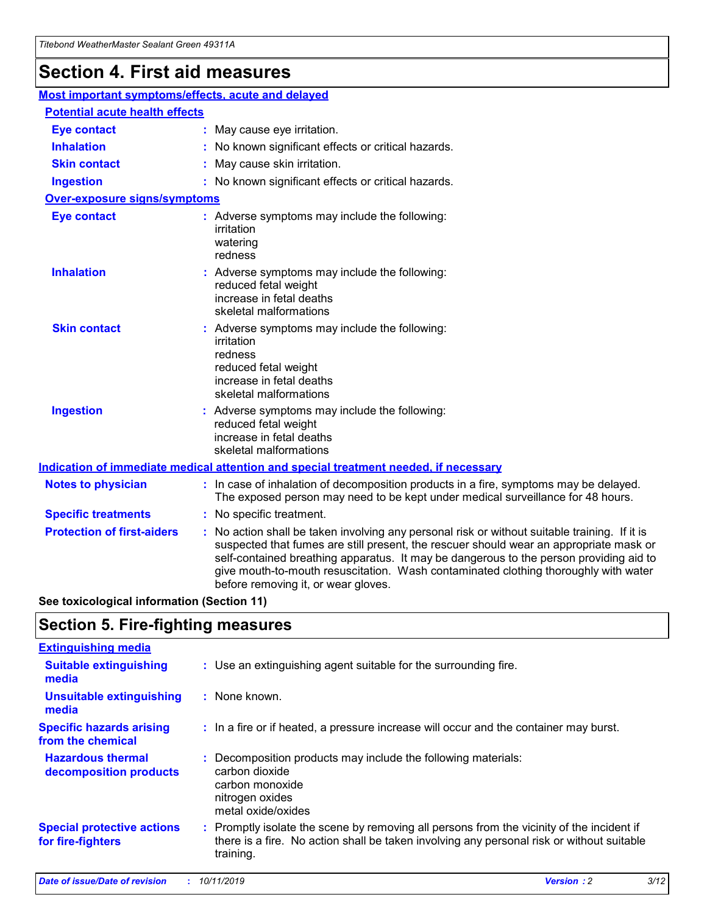## **Section 4. First aid measures**

| Most important symptoms/effects, acute and delayed |  |                                                                                                                                                                                                                                                                                                                                                                                                                 |
|----------------------------------------------------|--|-----------------------------------------------------------------------------------------------------------------------------------------------------------------------------------------------------------------------------------------------------------------------------------------------------------------------------------------------------------------------------------------------------------------|
| <b>Potential acute health effects</b>              |  |                                                                                                                                                                                                                                                                                                                                                                                                                 |
| <b>Eye contact</b>                                 |  | : May cause eye irritation.                                                                                                                                                                                                                                                                                                                                                                                     |
| <b>Inhalation</b>                                  |  | : No known significant effects or critical hazards.                                                                                                                                                                                                                                                                                                                                                             |
| <b>Skin contact</b>                                |  | : May cause skin irritation.                                                                                                                                                                                                                                                                                                                                                                                    |
| <b>Ingestion</b>                                   |  | : No known significant effects or critical hazards.                                                                                                                                                                                                                                                                                                                                                             |
| <b>Over-exposure signs/symptoms</b>                |  |                                                                                                                                                                                                                                                                                                                                                                                                                 |
| <b>Eye contact</b>                                 |  | : Adverse symptoms may include the following:<br>irritation<br>watering<br>redness                                                                                                                                                                                                                                                                                                                              |
| <b>Inhalation</b>                                  |  | : Adverse symptoms may include the following:<br>reduced fetal weight<br>increase in fetal deaths<br>skeletal malformations                                                                                                                                                                                                                                                                                     |
| <b>Skin contact</b>                                |  | : Adverse symptoms may include the following:<br>irritation<br>redness<br>reduced fetal weight<br>increase in fetal deaths<br>skeletal malformations                                                                                                                                                                                                                                                            |
| <b>Ingestion</b>                                   |  | : Adverse symptoms may include the following:<br>reduced fetal weight<br>increase in fetal deaths<br>skeletal malformations                                                                                                                                                                                                                                                                                     |
|                                                    |  | <b>Indication of immediate medical attention and special treatment needed, if necessary</b>                                                                                                                                                                                                                                                                                                                     |
| <b>Notes to physician</b>                          |  | : In case of inhalation of decomposition products in a fire, symptoms may be delayed.<br>The exposed person may need to be kept under medical surveillance for 48 hours.                                                                                                                                                                                                                                        |
| <b>Specific treatments</b>                         |  | : No specific treatment.                                                                                                                                                                                                                                                                                                                                                                                        |
| <b>Protection of first-aiders</b>                  |  | : No action shall be taken involving any personal risk or without suitable training. If it is<br>suspected that fumes are still present, the rescuer should wear an appropriate mask or<br>self-contained breathing apparatus. It may be dangerous to the person providing aid to<br>give mouth-to-mouth resuscitation. Wash contaminated clothing thoroughly with water<br>before removing it, or wear gloves. |

**See toxicological information (Section 11)**

### **Section 5. Fire-fighting measures**

| <b>Extinguishing media</b>                             |                                                                                                                                                                                                     |
|--------------------------------------------------------|-----------------------------------------------------------------------------------------------------------------------------------------------------------------------------------------------------|
| <b>Suitable extinguishing</b><br>media                 | : Use an extinguishing agent suitable for the surrounding fire.                                                                                                                                     |
| <b>Unsuitable extinguishing</b><br>media               | : None known.                                                                                                                                                                                       |
| <b>Specific hazards arising</b><br>from the chemical   | : In a fire or if heated, a pressure increase will occur and the container may burst.                                                                                                               |
| <b>Hazardous thermal</b><br>decomposition products     | : Decomposition products may include the following materials:<br>carbon dioxide<br>carbon monoxide<br>nitrogen oxides<br>metal oxide/oxides                                                         |
| <b>Special protective actions</b><br>for fire-fighters | : Promptly isolate the scene by removing all persons from the vicinity of the incident if<br>there is a fire. No action shall be taken involving any personal risk or without suitable<br>training. |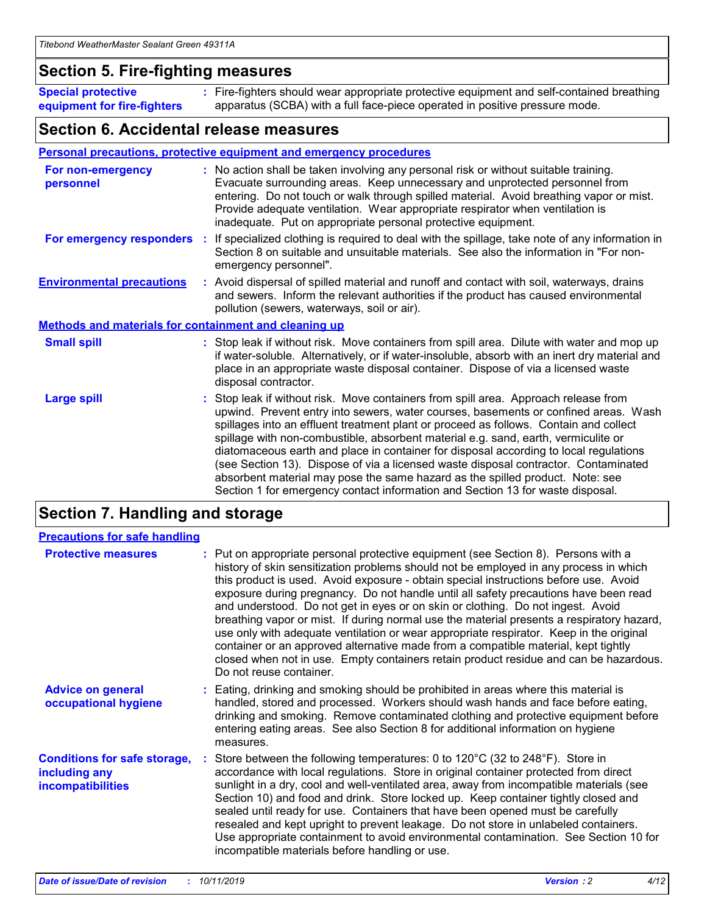### **Section 5. Fire-fighting measures**

**Special protective equipment for fire-fighters** Fire-fighters should wear appropriate protective equipment and self-contained breathing **:** apparatus (SCBA) with a full face-piece operated in positive pressure mode.

### **Section 6. Accidental release measures**

#### **Personal precautions, protective equipment and emergency procedures**

| For non-emergency<br>personnel                               | : No action shall be taken involving any personal risk or without suitable training.<br>Evacuate surrounding areas. Keep unnecessary and unprotected personnel from<br>entering. Do not touch or walk through spilled material. Avoid breathing vapor or mist.<br>Provide adequate ventilation. Wear appropriate respirator when ventilation is<br>inadequate. Put on appropriate personal protective equipment.                                                                                                                                                                                                                                                                                             |
|--------------------------------------------------------------|--------------------------------------------------------------------------------------------------------------------------------------------------------------------------------------------------------------------------------------------------------------------------------------------------------------------------------------------------------------------------------------------------------------------------------------------------------------------------------------------------------------------------------------------------------------------------------------------------------------------------------------------------------------------------------------------------------------|
|                                                              | For emergency responders : If specialized clothing is required to deal with the spillage, take note of any information in<br>Section 8 on suitable and unsuitable materials. See also the information in "For non-<br>emergency personnel".                                                                                                                                                                                                                                                                                                                                                                                                                                                                  |
| <b>Environmental precautions</b>                             | : Avoid dispersal of spilled material and runoff and contact with soil, waterways, drains<br>and sewers. Inform the relevant authorities if the product has caused environmental<br>pollution (sewers, waterways, soil or air).                                                                                                                                                                                                                                                                                                                                                                                                                                                                              |
| <b>Methods and materials for containment and cleaning up</b> |                                                                                                                                                                                                                                                                                                                                                                                                                                                                                                                                                                                                                                                                                                              |
| <b>Small spill</b>                                           | : Stop leak if without risk. Move containers from spill area. Dilute with water and mop up<br>if water-soluble. Alternatively, or if water-insoluble, absorb with an inert dry material and<br>place in an appropriate waste disposal container. Dispose of via a licensed waste<br>disposal contractor.                                                                                                                                                                                                                                                                                                                                                                                                     |
| <b>Large spill</b>                                           | : Stop leak if without risk. Move containers from spill area. Approach release from<br>upwind. Prevent entry into sewers, water courses, basements or confined areas. Wash<br>spillages into an effluent treatment plant or proceed as follows. Contain and collect<br>spillage with non-combustible, absorbent material e.g. sand, earth, vermiculite or<br>diatomaceous earth and place in container for disposal according to local regulations<br>(see Section 13). Dispose of via a licensed waste disposal contractor. Contaminated<br>absorbent material may pose the same hazard as the spilled product. Note: see<br>Section 1 for emergency contact information and Section 13 for waste disposal. |

### **Section 7. Handling and storage**

| <b>Precautions for safe handling</b>                                             |                                                                                                                                                                                                                                                                                                                                                                                                                                                                                                                                                                                                                                                                                                                                                                                                                                                  |
|----------------------------------------------------------------------------------|--------------------------------------------------------------------------------------------------------------------------------------------------------------------------------------------------------------------------------------------------------------------------------------------------------------------------------------------------------------------------------------------------------------------------------------------------------------------------------------------------------------------------------------------------------------------------------------------------------------------------------------------------------------------------------------------------------------------------------------------------------------------------------------------------------------------------------------------------|
| <b>Protective measures</b>                                                       | : Put on appropriate personal protective equipment (see Section 8). Persons with a<br>history of skin sensitization problems should not be employed in any process in which<br>this product is used. Avoid exposure - obtain special instructions before use. Avoid<br>exposure during pregnancy. Do not handle until all safety precautions have been read<br>and understood. Do not get in eyes or on skin or clothing. Do not ingest. Avoid<br>breathing vapor or mist. If during normal use the material presents a respiratory hazard,<br>use only with adequate ventilation or wear appropriate respirator. Keep in the original<br>container or an approved alternative made from a compatible material, kept tightly<br>closed when not in use. Empty containers retain product residue and can be hazardous.<br>Do not reuse container. |
| <b>Advice on general</b><br>occupational hygiene                                 | : Eating, drinking and smoking should be prohibited in areas where this material is<br>handled, stored and processed. Workers should wash hands and face before eating,<br>drinking and smoking. Remove contaminated clothing and protective equipment before<br>entering eating areas. See also Section 8 for additional information on hygiene<br>measures.                                                                                                                                                                                                                                                                                                                                                                                                                                                                                    |
| <b>Conditions for safe storage,</b><br>including any<br><b>incompatibilities</b> | : Store between the following temperatures: 0 to 120 $\degree$ C (32 to 248 $\degree$ F). Store in<br>accordance with local regulations. Store in original container protected from direct<br>sunlight in a dry, cool and well-ventilated area, away from incompatible materials (see<br>Section 10) and food and drink. Store locked up. Keep container tightly closed and<br>sealed until ready for use. Containers that have been opened must be carefully<br>resealed and kept upright to prevent leakage. Do not store in unlabeled containers.<br>Use appropriate containment to avoid environmental contamination. See Section 10 for<br>incompatible materials before handling or use.                                                                                                                                                   |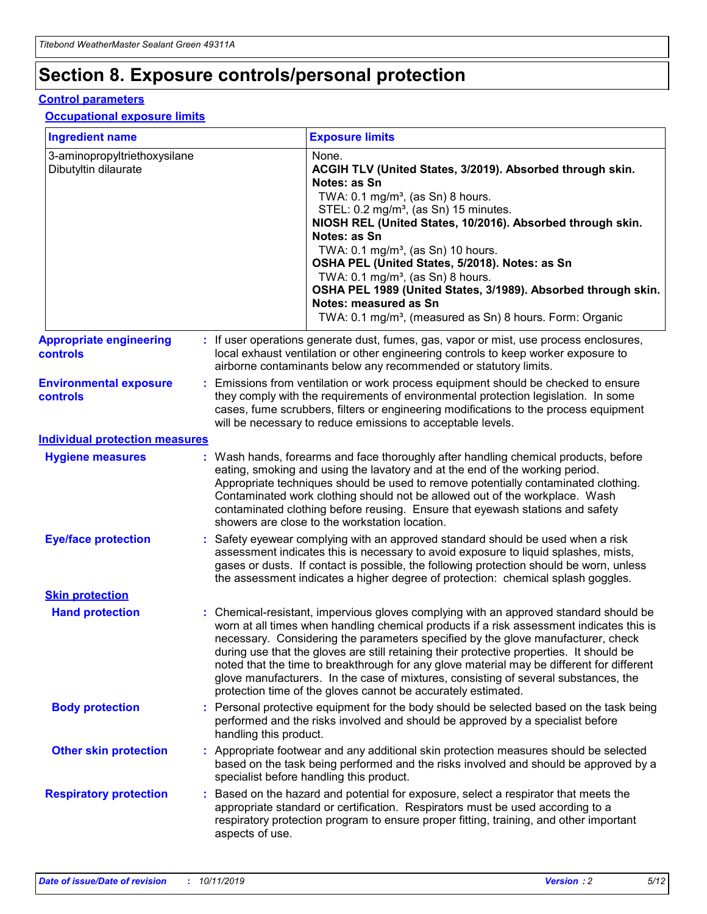## **Section 8. Exposure controls/personal protection**

#### **Control parameters**

#### **Occupational exposure limits**

| <b>Ingredient name</b>                               |    |                        | <b>Exposure limits</b>                                                                                                                                                                                                                                                                                                                                                                                                                                                                                                                                                                                                 |
|------------------------------------------------------|----|------------------------|------------------------------------------------------------------------------------------------------------------------------------------------------------------------------------------------------------------------------------------------------------------------------------------------------------------------------------------------------------------------------------------------------------------------------------------------------------------------------------------------------------------------------------------------------------------------------------------------------------------------|
| 3-aminopropyltriethoxysilane<br>Dibutyltin dilaurate |    |                        | None.<br>ACGIH TLV (United States, 3/2019). Absorbed through skin.<br>Notes: as Sn<br>TWA: $0.1 \text{ mg/m}^3$ , (as Sn) 8 hours.<br>STEL: 0.2 mg/m <sup>3</sup> , (as Sn) 15 minutes.<br>NIOSH REL (United States, 10/2016). Absorbed through skin.<br>Notes: as Sn<br>TWA: 0.1 mg/m <sup>3</sup> , (as Sn) 10 hours.<br>OSHA PEL (United States, 5/2018). Notes: as Sn<br>TWA: 0.1 mg/m <sup>3</sup> , (as Sn) 8 hours.<br>OSHA PEL 1989 (United States, 3/1989). Absorbed through skin.<br>Notes: measured as Sn<br>TWA: 0.1 mg/m <sup>3</sup> , (measured as Sn) 8 hours. Form: Organic                           |
| <b>Appropriate engineering</b><br>controls           |    |                        | : If user operations generate dust, fumes, gas, vapor or mist, use process enclosures,<br>local exhaust ventilation or other engineering controls to keep worker exposure to<br>airborne contaminants below any recommended or statutory limits.                                                                                                                                                                                                                                                                                                                                                                       |
| <b>Environmental exposure</b><br>controls            |    |                        | Emissions from ventilation or work process equipment should be checked to ensure<br>they comply with the requirements of environmental protection legislation. In some<br>cases, fume scrubbers, filters or engineering modifications to the process equipment<br>will be necessary to reduce emissions to acceptable levels.                                                                                                                                                                                                                                                                                          |
| <b>Individual protection measures</b>                |    |                        |                                                                                                                                                                                                                                                                                                                                                                                                                                                                                                                                                                                                                        |
| <b>Hygiene measures</b>                              |    |                        | : Wash hands, forearms and face thoroughly after handling chemical products, before<br>eating, smoking and using the lavatory and at the end of the working period.<br>Appropriate techniques should be used to remove potentially contaminated clothing.<br>Contaminated work clothing should not be allowed out of the workplace. Wash<br>contaminated clothing before reusing. Ensure that eyewash stations and safety<br>showers are close to the workstation location.                                                                                                                                            |
| <b>Eye/face protection</b>                           |    |                        | Safety eyewear complying with an approved standard should be used when a risk<br>assessment indicates this is necessary to avoid exposure to liquid splashes, mists,<br>gases or dusts. If contact is possible, the following protection should be worn, unless<br>the assessment indicates a higher degree of protection: chemical splash goggles.                                                                                                                                                                                                                                                                    |
| <b>Skin protection</b>                               |    |                        |                                                                                                                                                                                                                                                                                                                                                                                                                                                                                                                                                                                                                        |
| <b>Hand protection</b>                               |    |                        | : Chemical-resistant, impervious gloves complying with an approved standard should be<br>worn at all times when handling chemical products if a risk assessment indicates this is<br>necessary. Considering the parameters specified by the glove manufacturer, check<br>during use that the gloves are still retaining their protective properties. It should be<br>noted that the time to breakthrough for any glove material may be different for different<br>glove manufacturers. In the case of mixtures, consisting of several substances, the<br>protection time of the gloves cannot be accurately estimated. |
| <b>Body protection</b>                               |    | handling this product. | Personal protective equipment for the body should be selected based on the task being<br>performed and the risks involved and should be approved by a specialist before                                                                                                                                                                                                                                                                                                                                                                                                                                                |
| <b>Other skin protection</b>                         |    |                        | : Appropriate footwear and any additional skin protection measures should be selected<br>based on the task being performed and the risks involved and should be approved by a<br>specialist before handling this product.                                                                                                                                                                                                                                                                                                                                                                                              |
| <b>Respiratory protection</b>                        | ÷. | aspects of use.        | Based on the hazard and potential for exposure, select a respirator that meets the<br>appropriate standard or certification. Respirators must be used according to a<br>respiratory protection program to ensure proper fitting, training, and other important                                                                                                                                                                                                                                                                                                                                                         |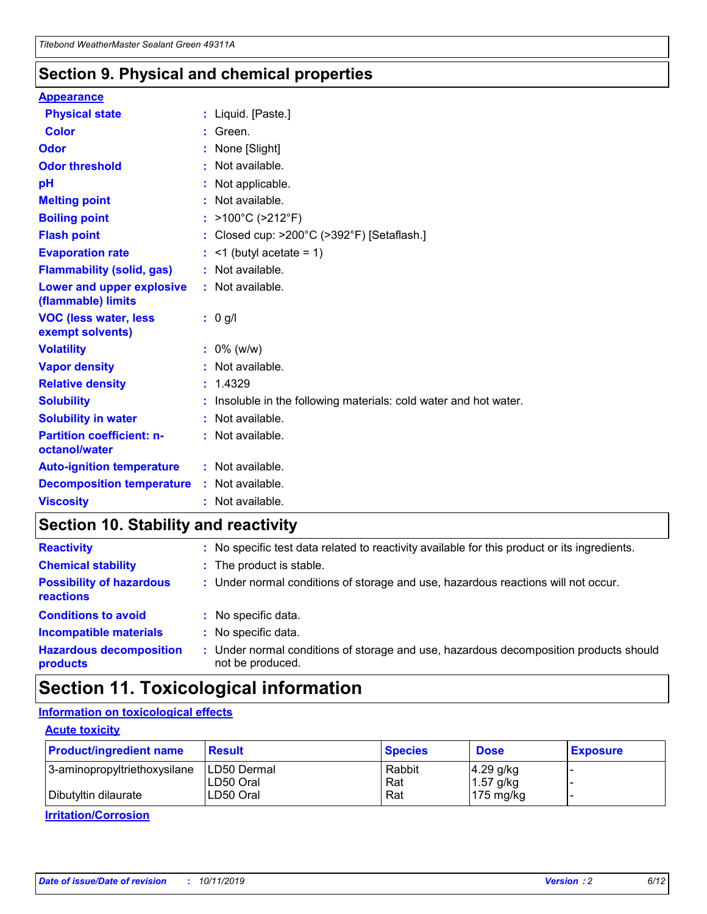### **Section 9. Physical and chemical properties**

#### **Appearance**

| <b>Physical state</b>                             | : Liquid. [Paste.]                                                |
|---------------------------------------------------|-------------------------------------------------------------------|
| <b>Color</b>                                      | Green.                                                            |
| Odor                                              | None [Slight]                                                     |
| <b>Odor threshold</b>                             | : Not available.                                                  |
| рH                                                | : Not applicable.                                                 |
| <b>Melting point</b>                              | : Not available.                                                  |
| <b>Boiling point</b>                              | : $>100^{\circ}$ C ( $>212^{\circ}$ F)                            |
| <b>Flash point</b>                                | : Closed cup: >200°C (>392°F) [Setaflash.]                        |
| <b>Evaporation rate</b>                           | $:$ <1 (butyl acetate = 1)                                        |
| <b>Flammability (solid, gas)</b>                  | : Not available.                                                  |
| Lower and upper explosive<br>(flammable) limits   | : Not available.                                                  |
| <b>VOC (less water, less</b><br>exempt solvents)  | $: 0$ g/l                                                         |
| <b>Volatility</b>                                 | $: 0\%$ (w/w)                                                     |
| <b>Vapor density</b>                              | : Not available.                                                  |
| <b>Relative density</b>                           | : 1.4329                                                          |
| <b>Solubility</b>                                 | : Insoluble in the following materials: cold water and hot water. |
| <b>Solubility in water</b>                        | : Not available.                                                  |
| <b>Partition coefficient: n-</b><br>octanol/water | : Not available.                                                  |
| <b>Auto-ignition temperature</b>                  | $:$ Not available.                                                |
| <b>Decomposition temperature</b>                  | : Not available.                                                  |
| <b>Viscosity</b>                                  | $:$ Not available.                                                |

### **Section 10. Stability and reactivity**

| <b>Reactivity</b>                            | : No specific test data related to reactivity available for this product or its ingredients.            |
|----------------------------------------------|---------------------------------------------------------------------------------------------------------|
| <b>Chemical stability</b>                    | : The product is stable.                                                                                |
| <b>Possibility of hazardous</b><br>reactions | : Under normal conditions of storage and use, hazardous reactions will not occur.                       |
| <b>Conditions to avoid</b>                   | : No specific data.                                                                                     |
| <b>Incompatible materials</b>                | : No specific data.                                                                                     |
| <b>Hazardous decomposition</b><br>products   | Under normal conditions of storage and use, hazardous decomposition products should<br>not be produced. |

### **Section 11. Toxicological information**

### **Information on toxicological effects**

#### **Acute toxicity**

| <b>Product/ingredient name</b> | <b>Result</b>           | <b>Species</b> | <b>Dose</b>                | <b>Exposure</b> |
|--------------------------------|-------------------------|----------------|----------------------------|-----------------|
| 3-aminopropyltriethoxysilane   | <b>ILD50 Dermal</b>     | Rabbit         | 4.29 g/kg                  |                 |
| Dibutyltin dilaurate           | ILD50 Oral<br>LD50 Oral | Rat<br>Rat     | $1.57$ g/kg<br>175 $mg/kg$ |                 |
|                                |                         |                |                            |                 |

**Irritation/Corrosion**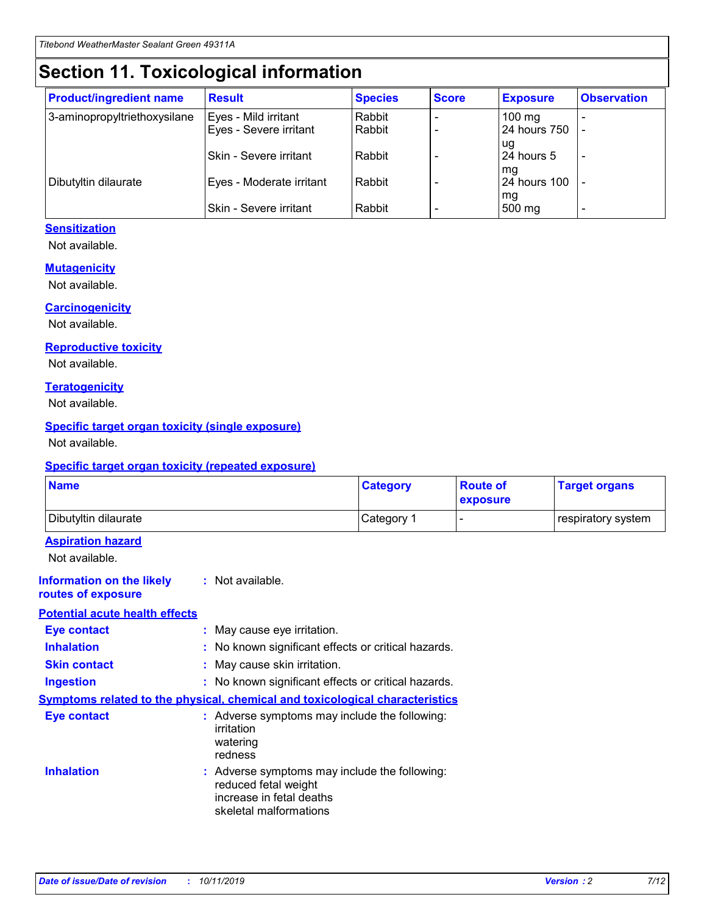## **Section 11. Toxicological information**

| <b>Product/ingredient name</b> | <b>Result</b>            | <b>Species</b> | <b>Score</b> | <b>Exposure</b>           | <b>Observation</b> |
|--------------------------------|--------------------------|----------------|--------------|---------------------------|--------------------|
| 3-aminopropyltriethoxysilane   | Eyes - Mild irritant     | Rabbit         |              | $100$ mg                  |                    |
|                                | Eyes - Severe irritant   | Rabbit         |              | 24 hours 750              |                    |
|                                |                          |                |              | ug                        |                    |
|                                | Skin - Severe irritant   | Rabbit         |              | 24 hours 5                | -                  |
| Dibutyltin dilaurate           | Eyes - Moderate irritant | Rabbit         |              | mq<br><b>24 hours 100</b> |                    |
|                                |                          |                |              | mg                        |                    |
|                                | Skin - Severe irritant   | Rabbit         |              | 500 mg                    |                    |

#### **Sensitization**

Not available.

#### **Mutagenicity**

Not available.

#### **Carcinogenicity**

Not available.

#### **Reproductive toxicity**

Not available.

#### **Teratogenicity**

Not available.

#### **Specific target organ toxicity (single exposure)**

Not available.

#### **Specific target organ toxicity (repeated exposure)**

| <b>Name</b>                                                                         |                                                                            | <b>Category</b>                                     | <b>Route of</b><br>exposure | <b>Target organs</b> |
|-------------------------------------------------------------------------------------|----------------------------------------------------------------------------|-----------------------------------------------------|-----------------------------|----------------------|
| Dibutyltin dilaurate                                                                |                                                                            | Category 1                                          | $\overline{\phantom{0}}$    | respiratory system   |
| <b>Aspiration hazard</b><br>Not available.                                          |                                                                            |                                                     |                             |                      |
| <b>Information on the likely</b><br>routes of exposure                              | : Not available.                                                           |                                                     |                             |                      |
| <b>Potential acute health effects</b>                                               |                                                                            |                                                     |                             |                      |
| <b>Eye contact</b>                                                                  | : May cause eye irritation.                                                |                                                     |                             |                      |
| <b>Inhalation</b>                                                                   |                                                                            | : No known significant effects or critical hazards. |                             |                      |
| <b>Skin contact</b>                                                                 | : May cause skin irritation.                                               |                                                     |                             |                      |
| <b>Ingestion</b>                                                                    |                                                                            | : No known significant effects or critical hazards. |                             |                      |
| <b>Symptoms related to the physical, chemical and toxicological characteristics</b> |                                                                            |                                                     |                             |                      |
| <b>Eye contact</b>                                                                  | irritation<br>watering<br>redness                                          | : Adverse symptoms may include the following:       |                             |                      |
| <b>Inhalation</b>                                                                   | reduced fetal weight<br>increase in fetal deaths<br>skeletal malformations | : Adverse symptoms may include the following:       |                             |                      |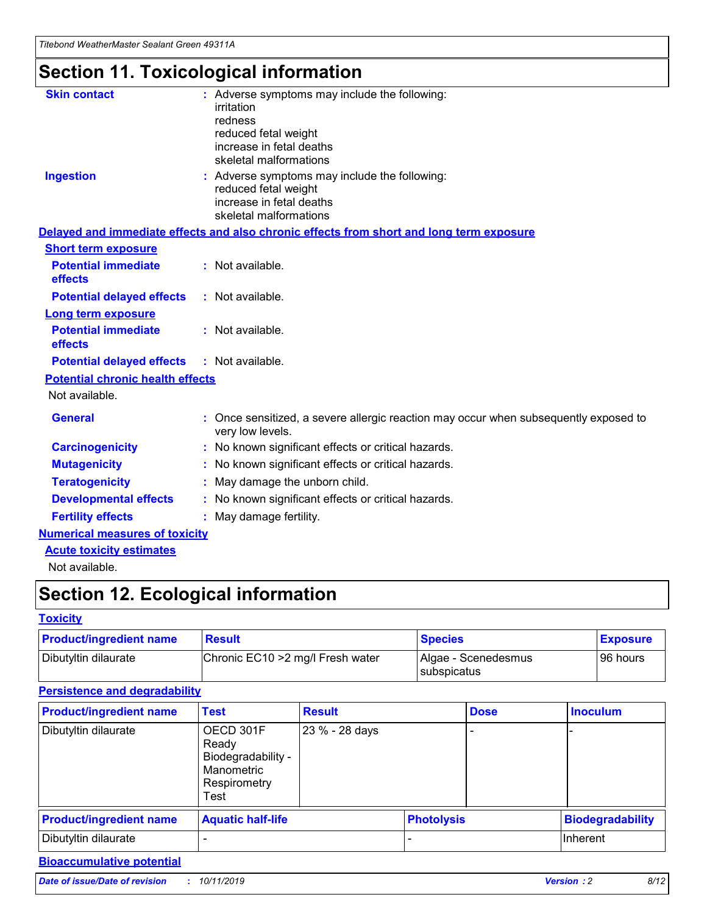## **Section 11. Toxicological information**

| <b>Skin contact</b>                     | : Adverse symptoms may include the following:<br>irritation<br>redness<br>reduced fetal weight<br>increase in fetal deaths<br>skeletal malformations |
|-----------------------------------------|------------------------------------------------------------------------------------------------------------------------------------------------------|
| <b>Ingestion</b>                        | : Adverse symptoms may include the following:<br>reduced fetal weight<br>increase in fetal deaths<br>skeletal malformations                          |
|                                         | Delayed and immediate effects and also chronic effects from short and long term exposure                                                             |
| <b>Short term exposure</b>              |                                                                                                                                                      |
| <b>Potential immediate</b><br>effects   | : Not available.                                                                                                                                     |
| <b>Potential delayed effects</b>        | : Not available.                                                                                                                                     |
| <b>Long term exposure</b>               |                                                                                                                                                      |
| <b>Potential immediate</b><br>effects   | : Not available.                                                                                                                                     |
| <b>Potential delayed effects</b>        | : Not available.                                                                                                                                     |
| <b>Potential chronic health effects</b> |                                                                                                                                                      |
| Not available.                          |                                                                                                                                                      |
| <b>General</b>                          | : Once sensitized, a severe allergic reaction may occur when subsequently exposed to<br>very low levels.                                             |
| <b>Carcinogenicity</b>                  | : No known significant effects or critical hazards.                                                                                                  |
| <b>Mutagenicity</b>                     | No known significant effects or critical hazards.                                                                                                    |
| <b>Teratogenicity</b>                   | May damage the unborn child.                                                                                                                         |
| <b>Developmental effects</b>            | No known significant effects or critical hazards.                                                                                                    |
| <b>Fertility effects</b>                | : May damage fertility.                                                                                                                              |
| <b>Numerical measures of toxicity</b>   |                                                                                                                                                      |
| <b>Acute toxicity estimates</b>         |                                                                                                                                                      |
|                                         |                                                                                                                                                      |

Not available.

## **Section 12. Ecological information**

#### **Toxicity**

| <b>Product/ingredient name</b> | <b>Result</b>                     | <b>Species</b>                       | <b>Exposure</b> |
|--------------------------------|-----------------------------------|--------------------------------------|-----------------|
| Dibutyltin dilaurate           | Chronic EC10 > 2 mg/l Fresh water | Algae - Scenedesmus<br>I subspicatus | l 96 hours      |

### **Persistence and degradability**

| <b>Product/ingredient name</b> | <b>Test</b>                                                                    | <b>Result</b>  |  | <b>Dose</b>       | <b>Inoculum</b>         |
|--------------------------------|--------------------------------------------------------------------------------|----------------|--|-------------------|-------------------------|
| Dibutyltin dilaurate           | OECD 301F<br>Ready<br>Biodegradability -<br>Manometric<br>Respirometry<br>Test | 23 % - 28 days |  |                   |                         |
| <b>Product/ingredient name</b> | <b>Aquatic half-life</b>                                                       |                |  | <b>Photolysis</b> | <b>Biodegradability</b> |
| Dibutyltin dilaurate           |                                                                                |                |  |                   | Inherent                |

### **Bioaccumulative potential**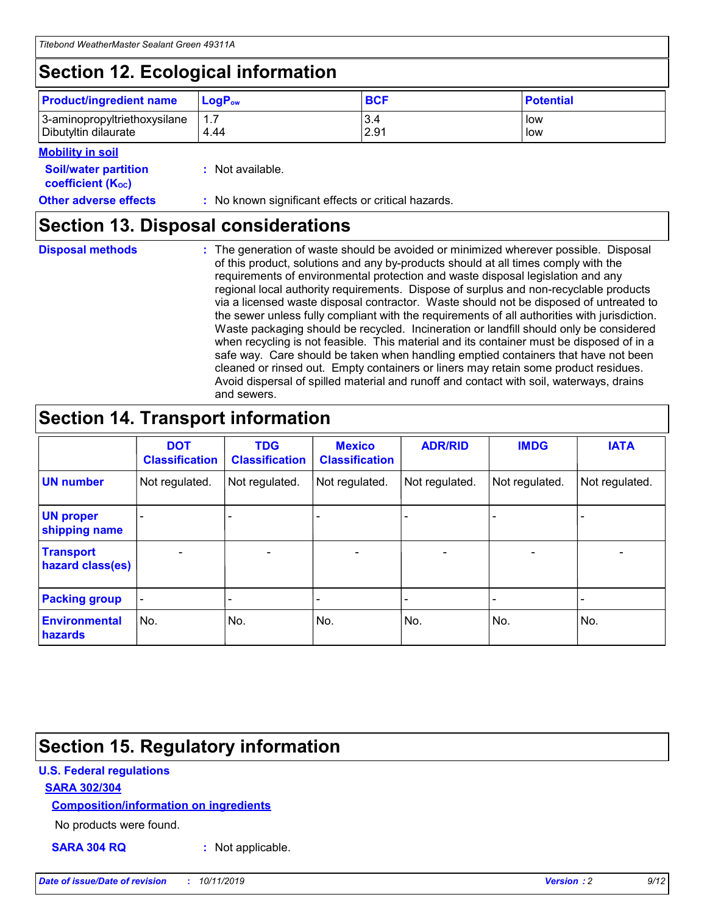## **Section 12. Ecological information**

| <b>Product/ingredient name</b>                       | ∣LoqP <sub>ow</sub> | <b>BCF</b>  | <b>Potential</b> |
|------------------------------------------------------|---------------------|-------------|------------------|
| 3-aminopropyltriethoxysilane<br>Dibutyltin dilaurate | 4.44                | 3.4<br>2.91 | low<br>low       |

#### **Mobility in soil**

| <b>Soil/water partition</b><br>coefficient (K <sub>oc</sub> ) | : Not available.                                    |
|---------------------------------------------------------------|-----------------------------------------------------|
| <b>Other adverse effects</b>                                  | : No known significant effects or critical hazards. |

### **Section 13. Disposal considerations**

**Disposal methods :**

The generation of waste should be avoided or minimized wherever possible. Disposal of this product, solutions and any by-products should at all times comply with the requirements of environmental protection and waste disposal legislation and any regional local authority requirements. Dispose of surplus and non-recyclable products via a licensed waste disposal contractor. Waste should not be disposed of untreated to the sewer unless fully compliant with the requirements of all authorities with jurisdiction. Waste packaging should be recycled. Incineration or landfill should only be considered when recycling is not feasible. This material and its container must be disposed of in a safe way. Care should be taken when handling emptied containers that have not been cleaned or rinsed out. Empty containers or liners may retain some product residues. Avoid dispersal of spilled material and runoff and contact with soil, waterways, drains and sewers.

## **Section 14. Transport information**

|                                      | <b>DOT</b><br><b>Classification</b> | <b>TDG</b><br><b>Classification</b> | <b>Mexico</b><br><b>Classification</b> | <b>ADR/RID</b>               | <b>IMDG</b>    | <b>IATA</b>    |
|--------------------------------------|-------------------------------------|-------------------------------------|----------------------------------------|------------------------------|----------------|----------------|
| <b>UN number</b>                     | Not regulated.                      | Not regulated.                      | Not regulated.                         | Not regulated.               | Not regulated. | Not regulated. |
| <b>UN proper</b><br>shipping name    |                                     |                                     |                                        |                              |                |                |
| <b>Transport</b><br>hazard class(es) | $\blacksquare$                      | $\overline{\phantom{0}}$            | $\overline{\phantom{a}}$               | $\qquad \qquad \blacksquare$ | $\blacksquare$ | $\blacksquare$ |
| <b>Packing group</b>                 | $\overline{\phantom{a}}$            | -                                   |                                        | -                            |                | -              |
| <b>Environmental</b><br>hazards      | No.                                 | No.                                 | No.                                    | No.                          | No.            | No.            |

## **Section 15. Regulatory information**

#### **U.S. Federal regulations**

#### **SARA 302/304**

#### **Composition/information on ingredients**

No products were found.

**SARA 304 RQ :** Not applicable.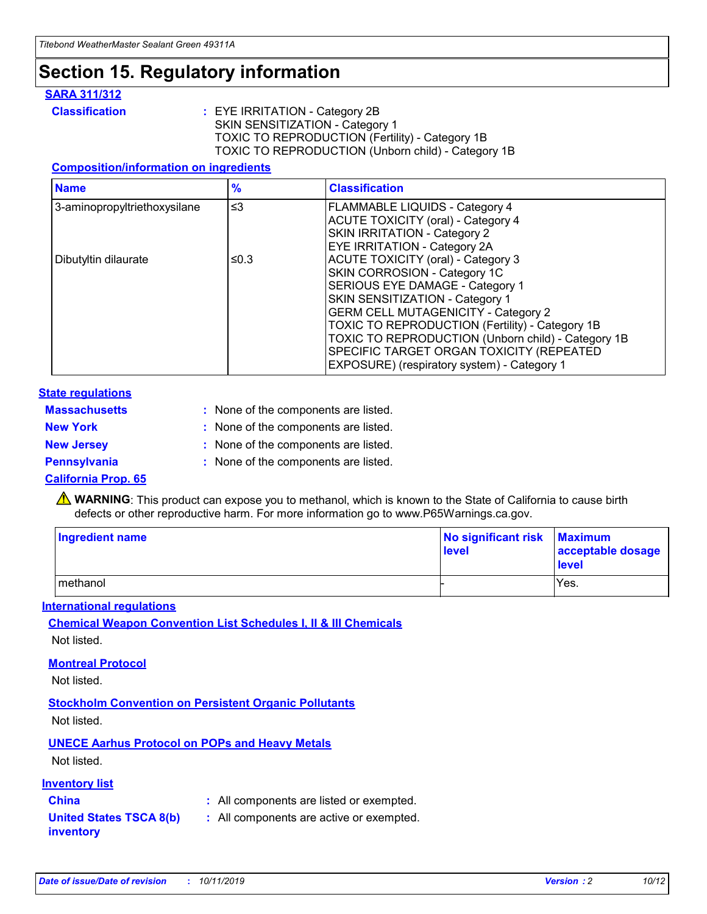## **Section 15. Regulatory information**

#### **SARA 311/312**

**Classification :** EYE IRRITATION - Category 2B SKIN SENSITIZATION - Category 1 TOXIC TO REPRODUCTION (Fertility) - Category 1B TOXIC TO REPRODUCTION (Unborn child) - Category 1B

#### **Composition/information on ingredients**

| <b>Name</b>                  | $\frac{9}{6}$ | <b>Classification</b>                                                                                            |
|------------------------------|---------------|------------------------------------------------------------------------------------------------------------------|
| 3-aminopropyltriethoxysilane | $\leq$ 3      | <b>FLAMMABLE LIQUIDS - Category 4</b><br><b>ACUTE TOXICITY (oral) - Category 4</b>                               |
|                              |               | SKIN IRRITATION - Category 2<br>EYE IRRITATION - Category 2A                                                     |
| Dibutyltin dilaurate         | ≤0.3          | ACUTE TOXICITY (oral) - Category 3<br>SKIN CORROSION - Category 1C                                               |
|                              |               | SERIOUS EYE DAMAGE - Category 1<br>SKIN SENSITIZATION - Category 1<br><b>GERM CELL MUTAGENICITY - Category 2</b> |
|                              |               | TOXIC TO REPRODUCTION (Fertility) - Category 1B<br>TOXIC TO REPRODUCTION (Unborn child) - Category 1B            |
|                              |               | SPECIFIC TARGET ORGAN TOXICITY (REPEATED<br>EXPOSURE) (respiratory system) - Category 1                          |

#### **State regulations**

| <b>Massachusetts</b> | : None of the components are listed. |
|----------------------|--------------------------------------|
| <b>New York</b>      | : None of the components are listed. |
| <b>New Jersey</b>    | : None of the components are listed. |
| <b>Pennsylvania</b>  | : None of the components are listed. |

#### **California Prop. 65**

**A** WARNING: This product can expose you to methanol, which is known to the State of California to cause birth defects or other reproductive harm. For more information go to www.P65Warnings.ca.gov.

| <b>Ingredient name</b> | No significant risk Maximum<br>level | acceptable dosage<br>level |
|------------------------|--------------------------------------|----------------------------|
| methanol               |                                      | Yes.                       |

#### **International regulations**

**Chemical Weapon Convention List Schedules I, II & III Chemicals** Not listed.

#### **Montreal Protocol**

Not listed.

**Stockholm Convention on Persistent Organic Pollutants**

Not listed.

### **UNECE Aarhus Protocol on POPs and Heavy Metals**

Not listed.

#### **Inventory list**

### **China :** All components are listed or exempted.

**United States TSCA 8(b) inventory :** All components are active or exempted.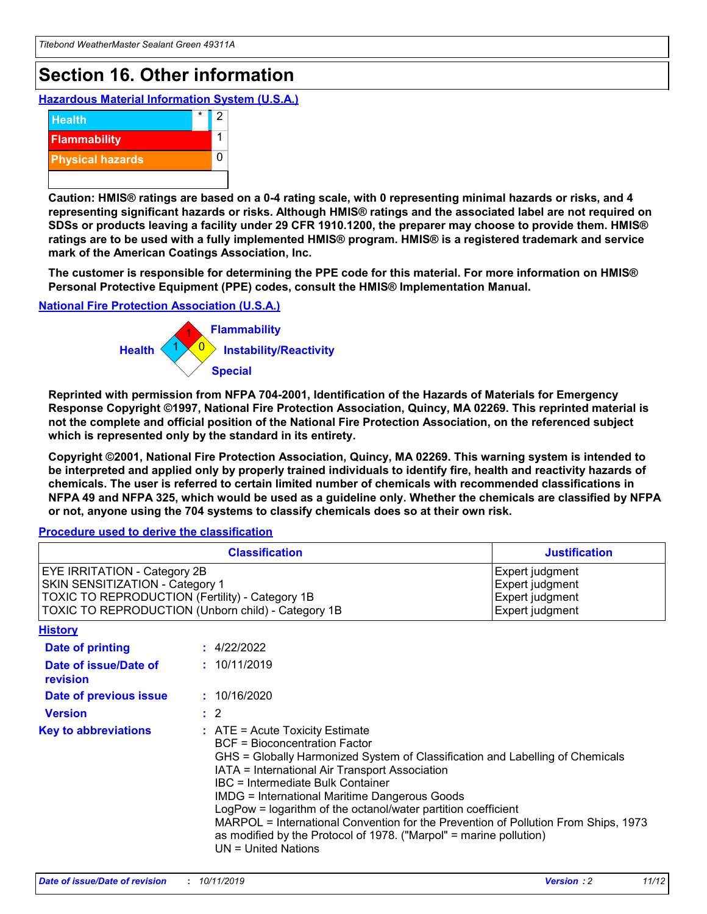## **Section 16. Other information**

**Hazardous Material Information System (U.S.A.)**



**Caution: HMIS® ratings are based on a 0-4 rating scale, with 0 representing minimal hazards or risks, and 4 representing significant hazards or risks. Although HMIS® ratings and the associated label are not required on SDSs or products leaving a facility under 29 CFR 1910.1200, the preparer may choose to provide them. HMIS® ratings are to be used with a fully implemented HMIS® program. HMIS® is a registered trademark and service mark of the American Coatings Association, Inc.**

**The customer is responsible for determining the PPE code for this material. For more information on HMIS® Personal Protective Equipment (PPE) codes, consult the HMIS® Implementation Manual.**

#### **National Fire Protection Association (U.S.A.)**



**Reprinted with permission from NFPA 704-2001, Identification of the Hazards of Materials for Emergency Response Copyright ©1997, National Fire Protection Association, Quincy, MA 02269. This reprinted material is not the complete and official position of the National Fire Protection Association, on the referenced subject which is represented only by the standard in its entirety.**

**Copyright ©2001, National Fire Protection Association, Quincy, MA 02269. This warning system is intended to be interpreted and applied only by properly trained individuals to identify fire, health and reactivity hazards of chemicals. The user is referred to certain limited number of chemicals with recommended classifications in NFPA 49 and NFPA 325, which would be used as a guideline only. Whether the chemicals are classified by NFPA or not, anyone using the 704 systems to classify chemicals does so at their own risk.**

#### **Procedure used to derive the classification**

| <b>Classification</b>                                                                                                                                                                  |                                                                                                                                                                                                                                                                   | <b>Justification</b>                                                                                                                                                                                                                                                                                       |  |
|----------------------------------------------------------------------------------------------------------------------------------------------------------------------------------------|-------------------------------------------------------------------------------------------------------------------------------------------------------------------------------------------------------------------------------------------------------------------|------------------------------------------------------------------------------------------------------------------------------------------------------------------------------------------------------------------------------------------------------------------------------------------------------------|--|
| <b>EYE IRRITATION - Category 2B</b><br>SKIN SENSITIZATION - Category 1<br><b>TOXIC TO REPRODUCTION (Fertility) - Category 1B</b><br>TOXIC TO REPRODUCTION (Unborn child) - Category 1B |                                                                                                                                                                                                                                                                   | Expert judgment<br>Expert judgment<br>Expert judgment<br>Expert judgment                                                                                                                                                                                                                                   |  |
| <b>History</b>                                                                                                                                                                         |                                                                                                                                                                                                                                                                   |                                                                                                                                                                                                                                                                                                            |  |
| <b>Date of printing</b>                                                                                                                                                                | : 4/22/2022                                                                                                                                                                                                                                                       |                                                                                                                                                                                                                                                                                                            |  |
| Date of issue/Date of<br>revision                                                                                                                                                      | : 10/11/2019                                                                                                                                                                                                                                                      |                                                                                                                                                                                                                                                                                                            |  |
| Date of previous issue                                                                                                                                                                 | : 10/16/2020                                                                                                                                                                                                                                                      |                                                                                                                                                                                                                                                                                                            |  |
| <b>Version</b>                                                                                                                                                                         | $\therefore$ 2                                                                                                                                                                                                                                                    |                                                                                                                                                                                                                                                                                                            |  |
| <b>Key to abbreviations</b>                                                                                                                                                            | $\therefore$ ATE = Acute Toxicity Estimate<br><b>BCF</b> = Bioconcentration Factor<br>IATA = International Air Transport Association<br><b>IBC</b> = Intermediate Bulk Container<br><b>IMDG = International Maritime Dangerous Goods</b><br>$UN = United Nations$ | GHS = Globally Harmonized System of Classification and Labelling of Chemicals<br>LogPow = logarithm of the octanol/water partition coefficient<br>MARPOL = International Convention for the Prevention of Pollution From Ships, 1973<br>as modified by the Protocol of 1978. ("Marpol" = marine pollution) |  |